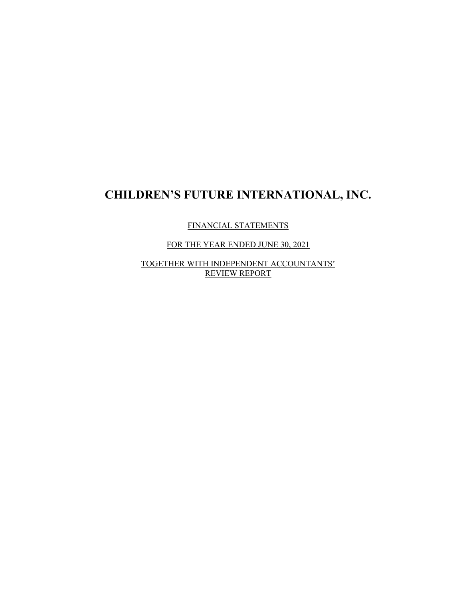FINANCIAL STATEMENTS

FOR THE YEAR ENDED JUNE 30, 2021

TOGETHER WITH INDEPENDENT ACCOUNTANTS' REVIEW REPORT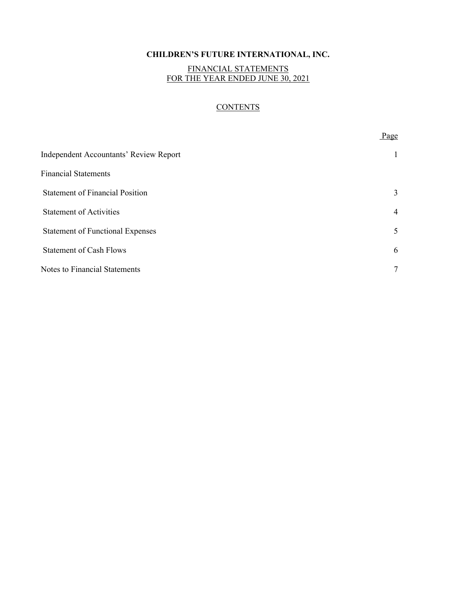## FINANCIAL STATEMENTS FOR THE YEAR ENDED JUNE 30, 2021

### **CONTENTS**

|                                         | Page         |
|-----------------------------------------|--------------|
| Independent Accountants' Review Report  | $\mathbf{1}$ |
| <b>Financial Statements</b>             |              |
| <b>Statement of Financial Position</b>  | 3            |
| <b>Statement of Activities</b>          | 4            |
| <b>Statement of Functional Expenses</b> | 5            |
| <b>Statement of Cash Flows</b>          | 6            |
| Notes to Financial Statements           | $\tau$       |
|                                         |              |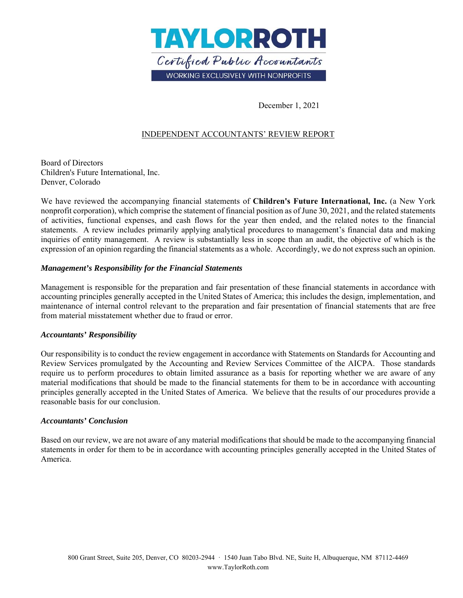

December 1, 2021

### INDEPENDENT ACCOUNTANTS' REVIEW REPORT

Board of Directors Children's Future International, Inc. Denver, Colorado

We have reviewed the accompanying financial statements of **Children's Future International, Inc.** (a New York nonprofit corporation), which comprise the statement of financial position as of June 30, 2021, and the related statements of activities, functional expenses, and cash flows for the year then ended, and the related notes to the financial statements. A review includes primarily applying analytical procedures to management's financial data and making inquiries of entity management. A review is substantially less in scope than an audit, the objective of which is the expression of an opinion regarding the financial statements as a whole. Accordingly, we do not express such an opinion.

### *Management's Responsibility for the Financial Statements*

Management is responsible for the preparation and fair presentation of these financial statements in accordance with accounting principles generally accepted in the United States of America; this includes the design, implementation, and maintenance of internal control relevant to the preparation and fair presentation of financial statements that are free from material misstatement whether due to fraud or error.

### *Accountants' Responsibility*

Our responsibility is to conduct the review engagement in accordance with Statements on Standards for Accounting and Review Services promulgated by the Accounting and Review Services Committee of the AICPA. Those standards require us to perform procedures to obtain limited assurance as a basis for reporting whether we are aware of any material modifications that should be made to the financial statements for them to be in accordance with accounting principles generally accepted in the United States of America. We believe that the results of our procedures provide a reasonable basis for our conclusion.

### *Accountants' Conclusion*

Based on our review, we are not aware of any material modifications that should be made to the accompanying financial statements in order for them to be in accordance with accounting principles generally accepted in the United States of America.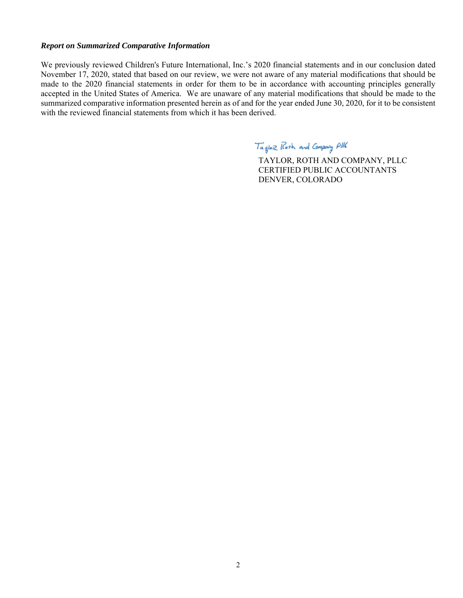#### *Report on Summarized Comparative Information*

We previously reviewed Children's Future International, Inc.'s 2020 financial statements and in our conclusion dated November 17, 2020, stated that based on our review, we were not aware of any material modifications that should be made to the 2020 financial statements in order for them to be in accordance with accounting principles generally accepted in the United States of America. We are unaware of any material modifications that should be made to the summarized comparative information presented herein as of and for the year ended June 30, 2020, for it to be consistent with the reviewed financial statements from which it has been derived.

Taylor Roth and Compony PIK

 TAYLOR, ROTH AND COMPANY, PLLC CERTIFIED PUBLIC ACCOUNTANTS DENVER, COLORADO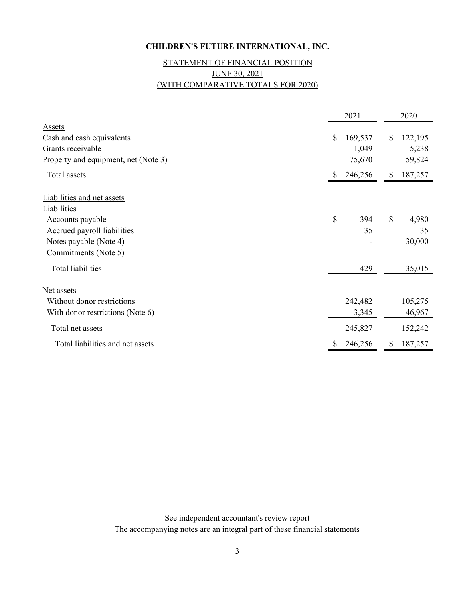# STATEMENT OF FINANCIAL POSITION JUNE 30, 2021 (WITH COMPARATIVE TOTALS FOR 2020)

|                                      |               | 2021    |               | 2020    |
|--------------------------------------|---------------|---------|---------------|---------|
| <b>Assets</b>                        |               |         |               |         |
| Cash and cash equivalents            | \$            | 169,537 | $\mathcal{S}$ | 122,195 |
| Grants receivable                    |               | 1,049   |               | 5,238   |
| Property and equipment, net (Note 3) |               | 75,670  |               | 59,824  |
| Total assets                         |               | 246,256 | \$            | 187,257 |
| Liabilities and net assets           |               |         |               |         |
| Liabilities                          |               |         |               |         |
| Accounts payable                     | $\mathcal{S}$ | 394     | \$            | 4,980   |
| Accrued payroll liabilities          |               | 35      |               | 35      |
| Notes payable (Note 4)               |               |         |               | 30,000  |
| Commitments (Note 5)                 |               |         |               |         |
| <b>Total liabilities</b>             |               | 429     |               | 35,015  |
| Net assets                           |               |         |               |         |
| Without donor restrictions           |               | 242,482 |               | 105,275 |
| With donor restrictions (Note 6)     |               | 3,345   |               | 46,967  |
| Total net assets                     |               | 245,827 |               | 152,242 |
| Total liabilities and net assets     |               | 246,256 | \$            | 187,257 |

See independent accountant's review report The accompanying notes are an integral part of these financial statements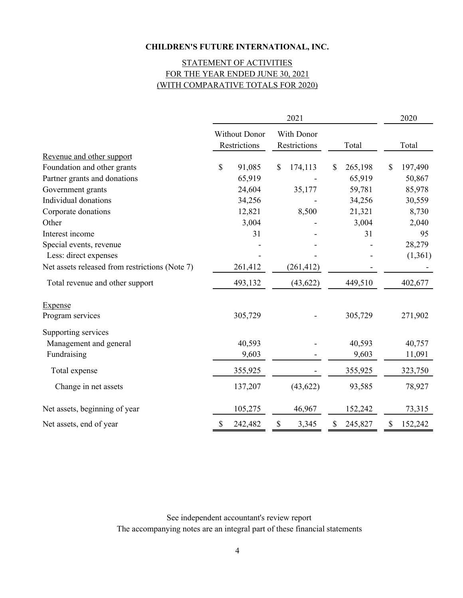# STATEMENT OF ACTIVITIES FOR THE YEAR ENDED JUNE 30, 2021 (WITH COMPARATIVE TOTALS FOR 2020)

|                                                | 2021 |                               |    | 2020                       |               |               |
|------------------------------------------------|------|-------------------------------|----|----------------------------|---------------|---------------|
|                                                |      | Without Donor<br>Restrictions |    | With Donor<br>Restrictions | Total         | Total         |
| Revenue and other support                      |      |                               |    |                            |               |               |
| Foundation and other grants                    | \$   | 91,085                        | \$ | 174,113                    | \$<br>265,198 | \$<br>197,490 |
| Partner grants and donations                   |      | 65,919                        |    |                            | 65,919        | 50,867        |
| Government grants                              |      | 24,604                        |    | 35,177                     | 59,781        | 85,978        |
| Individual donations                           |      | 34,256                        |    |                            | 34,256        | 30,559        |
| Corporate donations                            |      | 12,821                        |    | 8,500                      | 21,321        | 8,730         |
| Other                                          |      | 3,004                         |    |                            | 3,004         | 2,040         |
| Interest income                                |      | 31                            |    |                            | 31            | 95            |
| Special events, revenue                        |      |                               |    |                            |               | 28,279        |
| Less: direct expenses                          |      |                               |    |                            |               | (1,361)       |
| Net assets released from restrictions (Note 7) |      | 261,412                       |    | (261, 412)                 |               |               |
| Total revenue and other support                |      | 493,132                       |    | (43, 622)                  | 449,510       | 402,677       |
| <b>Expense</b>                                 |      |                               |    |                            |               |               |
| Program services                               |      | 305,729                       |    |                            | 305,729       | 271,902       |
| Supporting services                            |      |                               |    |                            |               |               |
| Management and general                         |      | 40,593                        |    |                            | 40,593        | 40,757        |
| Fundraising                                    |      | 9,603                         |    |                            | 9,603         | 11,091        |
| Total expense                                  |      | 355,925                       |    |                            | 355,925       | 323,750       |
| Change in net assets                           |      | 137,207                       |    | (43, 622)                  | 93,585        | 78,927        |
| Net assets, beginning of year                  |      | 105,275                       |    | 46,967                     | 152,242       | 73,315        |
| Net assets, end of year                        | \$   | 242,482                       | \$ | 3,345                      | \$<br>245,827 | \$<br>152,242 |

The accompanying notes are an integral part of these financial statements See independent accountant's review report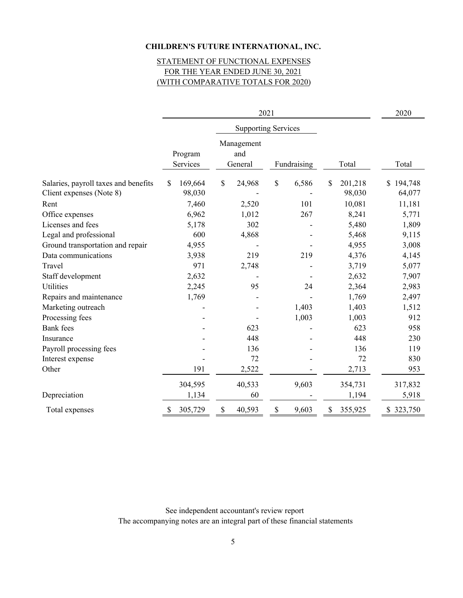## STATEMENT OF FUNCTIONAL EXPENSES (WITH COMPARATIVE TOTALS FOR 2020) FOR THE YEAR ENDED JUNE 30, 2021

|                                      | 2021                       |                              |             | 2020          |               |
|--------------------------------------|----------------------------|------------------------------|-------------|---------------|---------------|
|                                      | <b>Supporting Services</b> |                              |             |               |               |
|                                      | Program<br>Services        | Management<br>and<br>General | Fundraising | Total         | Total         |
| Salaries, payroll taxes and benefits | 169,664<br>\$              | \$<br>24,968                 | \$<br>6,586 | \$<br>201,218 | \$194,748     |
| Client expenses (Note 8)             | 98,030                     |                              |             | 98,030        | 64,077        |
| Rent                                 | 7,460                      | 2,520                        | 101         | 10,081        | 11,181        |
| Office expenses                      | 6,962                      | 1,012                        | 267         | 8,241         | 5,771         |
| Licenses and fees                    | 5,178                      | 302                          |             | 5,480         | 1,809         |
| Legal and professional               | 600                        | 4,868                        |             | 5,468         | 9,115         |
| Ground transportation and repair     | 4,955                      |                              |             | 4,955         | 3,008         |
| Data communications                  | 3,938                      | 219                          | 219         | 4,376         | 4,145         |
| Travel                               | 971                        | 2,748                        |             | 3,719         | 5,077         |
| Staff development                    | 2,632                      |                              |             | 2,632         | 7,907         |
| <b>Utilities</b>                     | 2,245                      | 95                           | 24          | 2,364         | 2,983         |
| Repairs and maintenance              | 1,769                      |                              |             | 1,769         | 2,497         |
| Marketing outreach                   |                            |                              | 1,403       | 1,403         | 1,512         |
| Processing fees                      |                            |                              | 1,003       | 1,003         | 912           |
| <b>Bank</b> fees                     |                            | 623                          |             | 623           | 958           |
| Insurance                            |                            | 448                          |             | 448           | 230           |
| Payroll processing fees              |                            | 136                          |             | 136           | 119           |
| Interest expense                     |                            | 72                           |             | 72            | 830           |
| Other                                | 191                        | 2,522                        |             | 2,713         | 953           |
|                                      | 304,595                    | 40,533                       | 9,603       | 354,731       | 317,832       |
| Depreciation                         | 1,134                      | 60                           |             | 1,194         | 5,918         |
| Total expenses                       | \$<br>305,729              | \$<br>40,593                 | \$<br>9,603 | \$<br>355,925 | 323,750<br>\$ |

See independent accountant's review report The accompanying notes are an integral part of these financial statements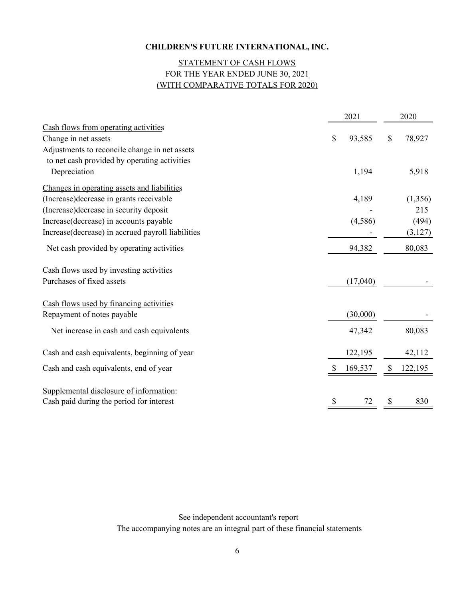# STATEMENT OF CASH FLOWS FOR THE YEAR ENDED JUNE 30, 2021 (WITH COMPARATIVE TOTALS FOR 2020)

|                                                   | 2021 |               | 2020    |  |
|---------------------------------------------------|------|---------------|---------|--|
| Cash flows from operating activities              |      |               |         |  |
| Change in net assets                              | \$   | \$<br>93,585  | 78,927  |  |
| Adjustments to reconcile change in net assets     |      |               |         |  |
| to net cash provided by operating activities      |      |               |         |  |
| Depreciation                                      |      | 1,194         | 5,918   |  |
| Changes in operating assets and liabilities       |      |               |         |  |
| (Increase) decrease in grants receivable          |      | 4,189         | (1,356) |  |
| (Increase) decrease in security deposit           |      |               | 215     |  |
| Increase(decrease) in accounts payable            |      | (4,586)       | (494)   |  |
| Increase(decrease) in accrued payroll liabilities |      |               | (3,127) |  |
| Net cash provided by operating activities         |      | 94,382        | 80,083  |  |
| Cash flows used by investing activities           |      |               |         |  |
| Purchases of fixed assets                         |      | (17,040)      |         |  |
| Cash flows used by financing activities           |      |               |         |  |
| Repayment of notes payable                        |      | (30,000)      |         |  |
| Net increase in cash and cash equivalents         |      | 47,342        | 80,083  |  |
| Cash and cash equivalents, beginning of year      |      | 122,195       | 42,112  |  |
| Cash and cash equivalents, end of year            | \$   | 169,537<br>\$ | 122,195 |  |
| Supplemental disclosure of information:           |      |               |         |  |
| Cash paid during the period for interest          | \$   | 72<br>\$      | 830     |  |

The accompanying notes are an integral part of these financial statements See independent accountant's report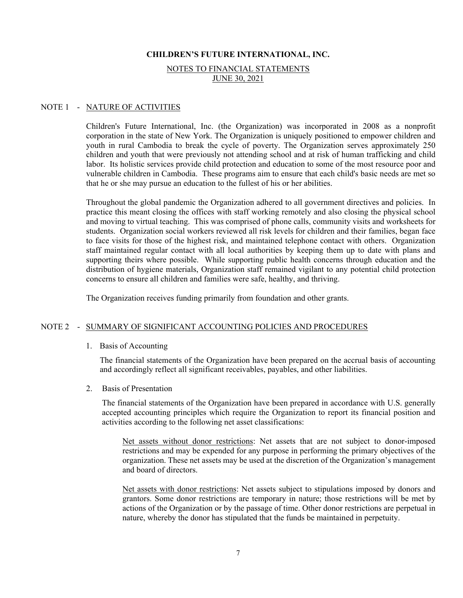### NOTES TO FINANCIAL STATEMENTS JUNE 30, 2021

#### NOTE 1 - NATURE OF ACTIVITIES

Children's Future International, Inc. (the Organization) was incorporated in 2008 as a nonprofit corporation in the state of New York. The Organization is uniquely positioned to empower children and youth in rural Cambodia to break the cycle of poverty. The Organization serves approximately 250 children and youth that were previously not attending school and at risk of human trafficking and child labor. Its holistic services provide child protection and education to some of the most resource poor and vulnerable children in Cambodia. These programs aim to ensure that each child's basic needs are met so that he or she may pursue an education to the fullest of his or her abilities.

Throughout the global pandemic the Organization adhered to all government directives and policies. In practice this meant closing the offices with staff working remotely and also closing the physical school and moving to virtual teaching. This was comprised of phone calls, community visits and worksheets for students. Organization social workers reviewed all risk levels for children and their families, began face to face visits for those of the highest risk, and maintained telephone contact with others. Organization staff maintained regular contact with all local authorities by keeping them up to date with plans and supporting theirs where possible. While supporting public health concerns through education and the distribution of hygiene materials, Organization staff remained vigilant to any potential child protection concerns to ensure all children and families were safe, healthy, and thriving.

The Organization receives funding primarily from foundation and other grants.

#### NOTE 2 - SUMMARY OF SIGNIFICANT ACCOUNTING POLICIES AND PROCEDURES

#### 1. Basis of Accounting

The financial statements of the Organization have been prepared on the accrual basis of accounting and accordingly reflect all significant receivables, payables, and other liabilities.

2. Basis of Presentation

The financial statements of the Organization have been prepared in accordance with U.S. generally accepted accounting principles which require the Organization to report its financial position and activities according to the following net asset classifications:

Net assets without donor restrictions: Net assets that are not subject to donor-imposed restrictions and may be expended for any purpose in performing the primary objectives of the organization. These net assets may be used at the discretion of the Organization's management and board of directors.

Net assets with donor restrictions: Net assets subject to stipulations imposed by donors and grantors. Some donor restrictions are temporary in nature; those restrictions will be met by actions of the Organization or by the passage of time. Other donor restrictions are perpetual in nature, whereby the donor has stipulated that the funds be maintained in perpetuity.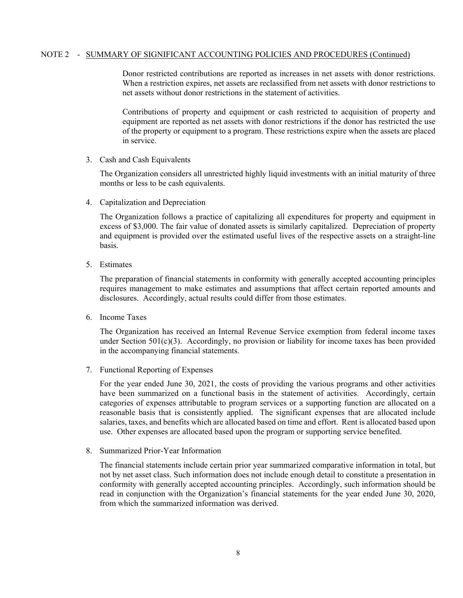#### NOTE 2 - SUMMARY OF SIGNIFICANT ACCOUNTING POLICIES AND PROCEDURES (Continued)

Donor restricted contributions are reported as increases in net assets with donor restrictions. When a restriction expires, net assets are reclassified from net assets with donor restrictions to net assets without donor restrictions in the statement of activities.

Contributions of property and equipment or cash restricted to acquisition of property and equipment are reported as net assets with donor restrictions if the donor has restricted the use of the property or equipment to a program. These restrictions expire when the assets are placed in service.

3. Cash and Cash Equivalents

The Organization considers all unrestricted highly liquid investments with an initial maturity of three months or less to be cash equivalents.

4. Capitalization and Depreciation

The Organization follows a practice of capitalizing all expenditures for property and equipment in excess of \$3,000. The fair value of donated assets is similarly capitalized. Depreciation of property and equipment is provided over the estimated useful lives of the respective assets on a straight-line basis.

5. Estimates

The preparation of financial statements in conformity with generally accepted accounting principles requires management to make estimates and assumptions that affect certain reported amounts and disclosures. Accordingly, actual results could differ from those estimates.

6. Income Taxes

The Organization has received an Internal Revenue Service exemption from federal income taxes under Section 501(c)(3). Accordingly, no provision or liability for income taxes has been provided in the accompanying financial statements.

7. Functional Reporting of Expenses

For the year ended June 30, 2021, the costs of providing the various programs and other activities have been summarized on a functional basis in the statement of activities. Accordingly, certain categories of expenses attributable to program services or a supporting function are allocated on a reasonable basis that is consistently applied. The significant expenses that are allocated include salaries, taxes, and benefits which are allocated based on time and effort. Rent is allocated based upon use. Other expenses are allocated based upon the program or supporting service benefited.

8. Summarized Prior-Year Information

The financial statements include certain prior year summarized comparative information in total, but not by net asset class. Such information does not include enough detail to constitute a presentation in conformity with generally accepted accounting principles. Accordingly, such information should be read in conjunction with the Organization's financial statements for the year ended June 30, 2020, from which the summarized information was derived.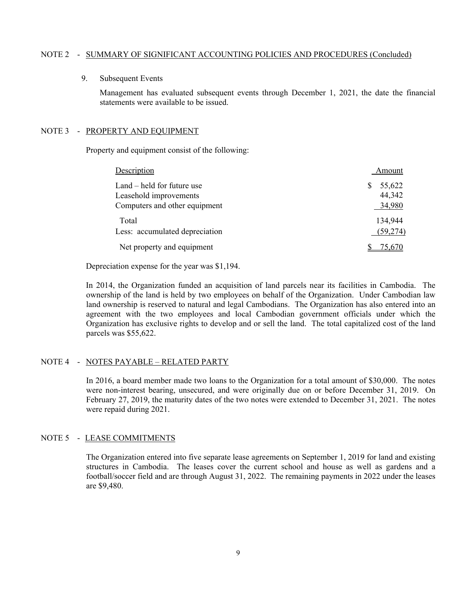#### NOTE 2 - SUMMARY OF SIGNIFICANT ACCOUNTING POLICIES AND PROCEDURES (Concluded)

#### 9. Subsequent Events

 Management has evaluated subsequent events through December 1, 2021, the date the financial statements were available to be issued.

#### NOTE 3 - PROPERTY AND EQUIPMENT

Property and equipment consist of the following:

| Description                                          | Amount                |
|------------------------------------------------------|-----------------------|
| Land – held for future use<br>Leasehold improvements | 55,622<br>S<br>44,342 |
| Computers and other equipment                        | 34,980                |
| Total                                                | 134,944               |
| Less: accumulated depreciation                       | (59, 274)             |
| Net property and equipment                           | 75.670                |

Depreciation expense for the year was \$1,194.

 In 2014, the Organization funded an acquisition of land parcels near its facilities in Cambodia. The ownership of the land is held by two employees on behalf of the Organization. Under Cambodian law land ownership is reserved to natural and legal Cambodians. The Organization has also entered into an agreement with the two employees and local Cambodian government officials under which the Organization has exclusive rights to develop and or sell the land. The total capitalized cost of the land parcels was \$55,622.

#### NOTE 4 - NOTES PAYABLE – RELATED PARTY

 In 2016, a board member made two loans to the Organization for a total amount of \$30,000. The notes were non-interest bearing, unsecured, and were originally due on or before December 31, 2019. On February 27, 2019, the maturity dates of the two notes were extended to December 31, 2021. The notes were repaid during 2021.

#### NOTE 5 - LEASE COMMITMENTS

 The Organization entered into five separate lease agreements on September 1, 2019 for land and existing structures in Cambodia. The leases cover the current school and house as well as gardens and a football/soccer field and are through August 31, 2022. The remaining payments in 2022 under the leases are \$9,480.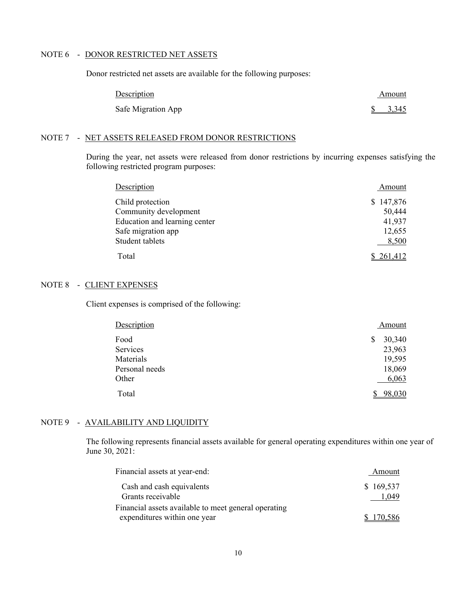#### NOTE 6 - DONOR RESTRICTED NET ASSETS

Donor restricted net assets are available for the following purposes:

| Description        | Amount |
|--------------------|--------|
| Safe Migration App | 3,345  |

#### NOTE 7 - NET ASSETS RELEASED FROM DONOR RESTRICTIONS

During the year, net assets were released from donor restrictions by incurring expenses satisfying the following restricted program purposes:

| Description                   | Amount    |
|-------------------------------|-----------|
| Child protection              | \$147,876 |
| Community development         | 50,444    |
| Education and learning center | 41,937    |
| Safe migration app            | 12,655    |
| Student tablets               | 8,500     |
| Total                         | \$261,412 |

### NOTE 8 - CLIENT EXPENSES

Client expenses is comprised of the following:

| Description    | Amount       |
|----------------|--------------|
| Food           | 30,340<br>\$ |
| Services       | 23,963       |
| Materials      | 19,595       |
| Personal needs | 18,069       |
| Other          | 6,063        |
| Total          | 98,030       |

### NOTE 9 - AVAILABILITY AND LIQUIDITY

The following represents financial assets available for general operating expenditures within one year of June 30, 2021:

| Financial assets at year-end:                        | Amount    |
|------------------------------------------------------|-----------|
| Cash and cash equivalents                            | \$169,537 |
| Grants receivable                                    | 1.049     |
| Financial assets available to meet general operating |           |
| expenditures within one year                         | \$170,586 |